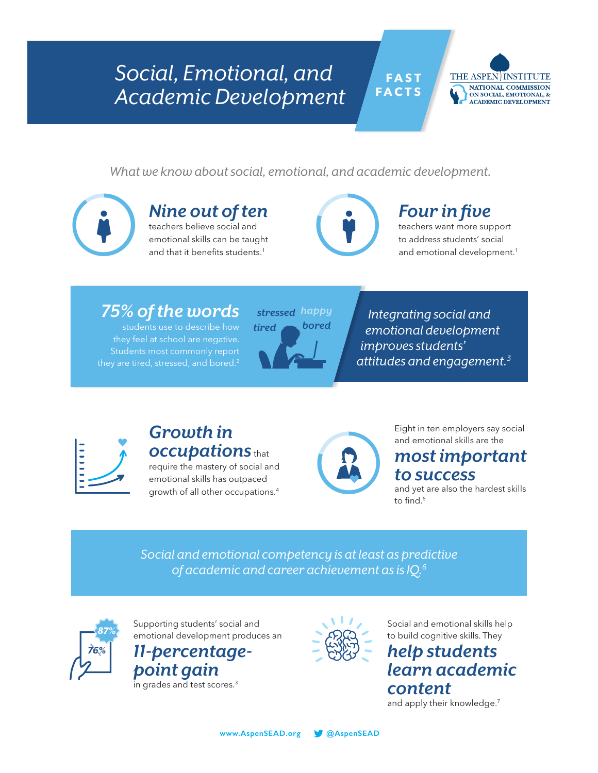# *Social, Emotional, and Academic Development*



*What we know about social, emotional, and academic development.*



## *Nine out of ten*

teachers believe social and emotional skills can be taught **Nine out of ten**<br>teachers believe social and<br>emotional skills can be taught<br>and that it benefits students.<sup>1</sup>

# *Four in five*

 **F A S T FACTS**

> teachers want more support to address students' social and emotional development.<sup>1</sup>

## *75% of the words*

students use to describe how they feel at school are negative. Students most commonly report they are tired, stressed, and bored.<sup>2</sup>



*Integrating social and emotional development improves students' attitudes and engagement.3*



## *Growth in occupations* that

require the mastery of social and emotional skills has outpaced growth of all other occupations.4



Eight in ten employers say social and emotional skills are the

## *most important to success*

and yet are also the hardest skills to find.<sup>5</sup>

*Social and emotional competency is at least as predictive of academic and career achievement as is IQ.6*



**87%** Supporting students' social and *Supporting students'* social and *COC* **Social and emotional skills help** emotional development produces an *11-percentage-*

> *point gain* in grades and test scores.<sup>3</sup>



to build cognitive skills. They *help students learn academic content*  and apply their knowledge.<sup>7</sup>